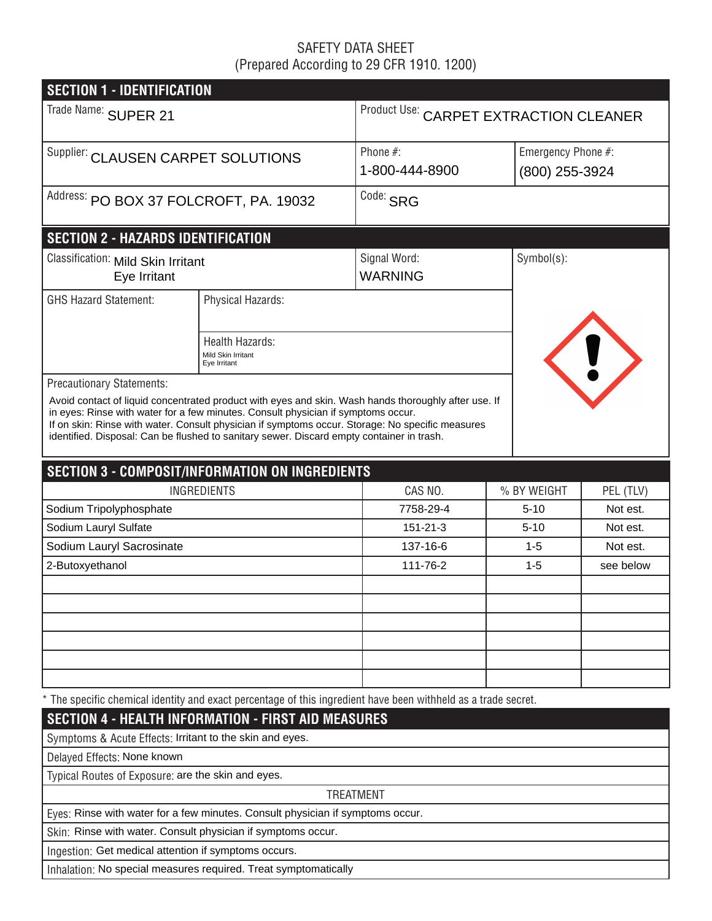# SAFETY DATA SHEET (Prepared According to 29 CFR 1910. 1200)

| Product Use: CARPET EXTRACTION CLEANER |  |  |  |  |  |  |
|----------------------------------------|--|--|--|--|--|--|
| Emergency Phone #:<br>(800) 255-3924   |  |  |  |  |  |  |
|                                        |  |  |  |  |  |  |
|                                        |  |  |  |  |  |  |
|                                        |  |  |  |  |  |  |
|                                        |  |  |  |  |  |  |
| U                                      |  |  |  |  |  |  |
|                                        |  |  |  |  |  |  |
|                                        |  |  |  |  |  |  |
|                                        |  |  |  |  |  |  |
|                                        |  |  |  |  |  |  |
| PEL (TLV)                              |  |  |  |  |  |  |
| Not est.                               |  |  |  |  |  |  |
| Not est.                               |  |  |  |  |  |  |
| Not est.                               |  |  |  |  |  |  |
| see below                              |  |  |  |  |  |  |
|                                        |  |  |  |  |  |  |
|                                        |  |  |  |  |  |  |
|                                        |  |  |  |  |  |  |
|                                        |  |  |  |  |  |  |
|                                        |  |  |  |  |  |  |
|                                        |  |  |  |  |  |  |
|                                        |  |  |  |  |  |  |
|                                        |  |  |  |  |  |  |
|                                        |  |  |  |  |  |  |
|                                        |  |  |  |  |  |  |
|                                        |  |  |  |  |  |  |
|                                        |  |  |  |  |  |  |
|                                        |  |  |  |  |  |  |
|                                        |  |  |  |  |  |  |
|                                        |  |  |  |  |  |  |

Inhalation: No special measures required. Treat symptomatically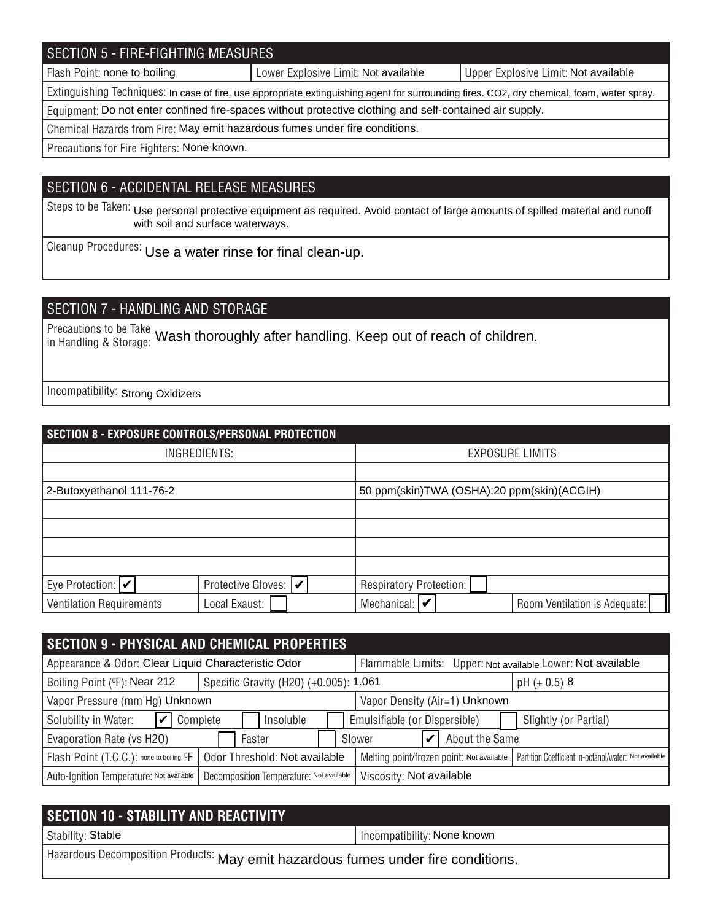## SECTION 5 - FIRE-FIGHTING MEASURES

Flash Point: none to boiling **Notable 2018** Lower Explosive Limit: Not available Not available Not available

Extinguishing Techniques: In case of fire, use appropriate extinguishing agent for surrounding fires. CO2, dry chemical, foam, water spray.

Equipment: Do not enter confined fire-spaces without protective clothing and self-contained air supply.

Chemical Hazards from Fire: May emit hazardous fumes under fire conditions.

Precautions for Fire Fighters: None known.

## SECTION 6 - ACCIDENTAL RELEASE MEASURES

Steps to be Taken: Use personal protective equipment as required. Avoid contact of large amounts of spilled material and runoff with soil and surface waterways.

Cleanup Procedures: Use a water rinse for final clean-up.

# SECTION 7 - HANDLING AND STORAGE

Precautions to be Take In Beadholis to be Take Wash thoroughly after handling. Keep out of reach of children.

Incompatibility: Strong Oxidizers

| SECTION 8 - EXPOSURE CONTROLS/PERSONAL PROTECTION |                       |                                            |                               |  |  |  |
|---------------------------------------------------|-----------------------|--------------------------------------------|-------------------------------|--|--|--|
| INGREDIENTS:                                      |                       | <b>EXPOSURE LIMITS</b>                     |                               |  |  |  |
|                                                   |                       |                                            |                               |  |  |  |
| 2-Butoxyethanol 111-76-2                          |                       | 50 ppm(skin)TWA (OSHA);20 ppm(skin)(ACGIH) |                               |  |  |  |
|                                                   |                       |                                            |                               |  |  |  |
|                                                   |                       |                                            |                               |  |  |  |
|                                                   |                       |                                            |                               |  |  |  |
|                                                   |                       |                                            |                               |  |  |  |
| Eye Protection: $ v $                             | Protective Gloves:  ✔ | Respiratory Protection:                    |                               |  |  |  |
| <b>Ventilation Requirements</b>                   | Local Exaust:         | Mechanical: $\triangleright$               | Room Ventilation is Adequate: |  |  |  |

| <b>SECTION 9 - PHYSICAL AND CHEMICAL PROPERTIES</b>                                                              |                                        |                                                             |                                                       |  |  |  |
|------------------------------------------------------------------------------------------------------------------|----------------------------------------|-------------------------------------------------------------|-------------------------------------------------------|--|--|--|
| Appearance & Odor: Clear Liquid Characteristic Odor                                                              |                                        | Flammable Limits: Upper: Not available Lower: Not available |                                                       |  |  |  |
| Boiling Point (°F): Near 212                                                                                     | Specific Gravity (H20) (±0.005): 1.061 |                                                             | pH $(\pm 0.5)$ 8                                      |  |  |  |
| Vapor Pressure (mm Hg) Unknown<br>Vapor Density (Air=1) Unknown                                                  |                                        |                                                             |                                                       |  |  |  |
| $ v $ Complete<br>Solubility in Water:                                                                           | Insoluble                              | Emulsifiable (or Dispersible)                               | Slightly (or Partial)                                 |  |  |  |
| Evaporation Rate (vs H2O)                                                                                        | Faster                                 | About the Same<br>Slower                                    |                                                       |  |  |  |
| Flash Point (T.C.C.): none to boiling <sup>O</sup> F                                                             | Odor Threshold: Not available          | Melting point/frozen point: Not available                   | Partition Coefficient: n-octanol/water: Not available |  |  |  |
| Viscosity: Not available<br>Auto-Ignition Temperature: Not available<br>Decomposition Temperature: Not available |                                        |                                                             |                                                       |  |  |  |

| <b>SECTION 10 - STABILITY AND REACTIVITY</b>                                      |                             |  |  |  |
|-----------------------------------------------------------------------------------|-----------------------------|--|--|--|
| Stability: Stable                                                                 | Incompatibility: None known |  |  |  |
| Hazardous Decomposition Products: May emit hazardous fumes under fire conditions. |                             |  |  |  |